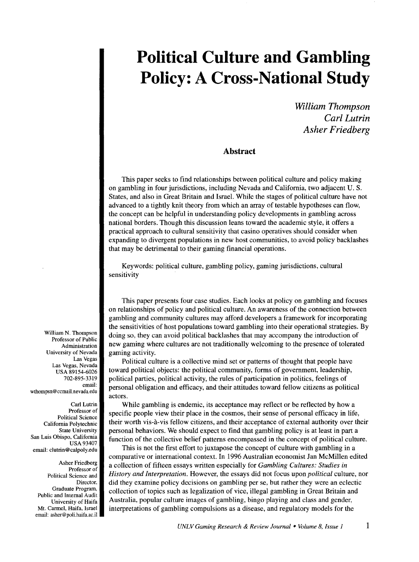*William Thompson Carl Lutrin Asher Friedberg* 

#### **Abstract**

This paper seeks to find relationships between political culture and policy making on gambling in four jurisdictions, including Nevada and California, two adjacent U.S. States, and also in Great Britain and IsraeL While the stages of political culture have not advanced to a tightly knit theory from which an array of testable hypotheses can flow, the concept can be helpful in understanding policy developments in gambling across national borders. Though this discussion leans toward the academic style, it offers a practical approach to cultural sensitivity that casino operatives should consider when expanding to divergent populations in new host communities, to avoid policy backlashes that may be detrimental to their gaming financial operations.

Keywords: political culture, gambling policy, gaming jurisdictions, cultural sensitivity

This paper presents four case studies. Each looks at policy on gambling and focuses on relationships of policy and political culture. An awareness of the connection between gambling and community cultures may afford developers a framework for incorporating the sensitivities of host populations toward gambling into their operational strategies. By doing so, they can avoid political backlashes that may accompany the introduction of new gaming where cultures are not traditionally welcoming to the presence of tolerated gaming activity.

Political culture is a collective mind set or patterns of thought that people have toward political objects: the political community, forms of government, leadership, political parties, political activity, the rules of participation in politics, feelings of personal obligation and efficacy, and their attitudes toward fellow citizens as political actors.

While gambling is endemic, its acceptance may reflect or be reflected by how a specific people view their place in the cosmos, their sense of personal efficacy in life, their worth vis-a-vis fellow citizens, and their acceptance of external authority over their personal behaviors. We should expect to find that gambling policy is at least in part a function of the collective belief patterns encompassed in the concept of political culture.

This is not the first effort to juxtapose the concept of culture with gambling in a comparative or international context. In 1996 Australian economist Jan McMillen edited a collection of fifteen essays written especially for *Gambling Cultures: Studies in History and Interpretation.* However, the essays did not focus upon *political* culture, nor did they examine policy decisions on gambling per se, but rather they were an eclectic collection of topics such as legalization of vice, illegal gambling in Great Britain and Australia, popular culture images of gambling, bingo playing and class and gender, interpretations of gambling compulsions as a disease, and regulatory models for the

William N. Thompson Professor of Public Administration University of Nevada Las Vegas Las Vegas, Nevada USA 89154-6026 702-895-3319 email: wthompsn @ccmail.nevada.edu

Carl Lutrin Professor of Political Science California Polytechnic State University San Luis Obispo, California USA93407 email: clutrin@calpoly.edu

Asher Friedberg Professor of Political Science and Director, Graduate Program, Public and Internal Audit University of Haifa Mt. Carmel, Haifa. Israel email: asher@poli.haifa.ac.il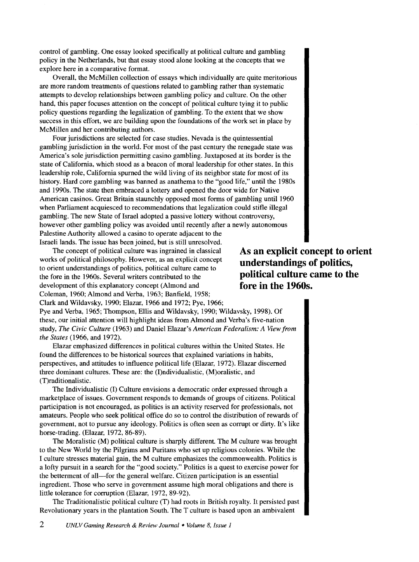control of gambling. One essay looked specifically at political culture and gambling policy in the Netherlands, but that essay stood alone looking at the concepts that we explore here in a comparative format.

Overall, the McMillen collection of essays which individually are quite meritorious are more random treatments of questions related to gambling rather than systematic attempts to develop relationships between gambling policy and culture. On the other hand, this paper focuses attention on the concept of political culture tying it to public policy questions regarding the legalization of gambling. To the extent that we show success in this effort, we are building upon the foundations of the work set in place by McMillen and her contributing authors.

Four jurisdictions are selected for case studies. Nevada is the quintessential gambling jurisdiction in the world. For most of the past century the renegade state was America's sole jurisdiction permitting casino gambling. Juxtaposed at its border is the state of California, which stood as a beacon of moral leadership for other states. In this leadership role, California spurned the wild living of its neighbor state for most of its history. Hard core gambling was banned as anathema to the "good life," until the 1980s and 1990s. The state then embraced a lottery and opened the door wide for Native American casinos. Great Britain staunchly opposed most forms of gambling until 1960 when Parliament acquiesced to recommendations that legalization could stifle illegal gambling. The new State of Israel adopted a passive lottery without controversy, however other gambling policy was avoided until recently after a newly autonomous Palestine Authority allowed a casino to operate adjacent to the Israeli lands. The issue has been joined, but is still unresolved.

The concept of political culture was ingrained in classical works of political philosophy. However, as an explicit concept to orient understandings of politics, political culture came to the fore in the 1960s. Several writers contributed to the development of this explanatory concept (Almond and Coleman, 1960; Almond and Verba, 1963; Banfield, 1958; Clark and Wildavsky, 1990; Elazar, 1966 and 1972; Pye, 1966;

**As an explicit concept to orient understandings of politics, political culture came to the fore in the 1960s.** 

Pye and Verba, 1965; Thompson, Ellis and Wildavsky, 1990; Wildavsky, 1998). Of these, our initial attention will highlight ideas from Almond and Verba's five-nation study, *The Civic Culture* (1963) and Daniel Elazar's *American Federalism: A View from the States* (1966, and 1972).

Elazar emphasized differences in political cultures within the United States. He found the differences to be historical sources that explained variations in habits, perspectives, and attitudes to influence political life (Elazar, 1972). Elazar discerned three dominant cultures. These are: the (I)ndividualistic, (M)oralistic, and (T)raditionalistic.

The Individualistic (I) Culture envisions a democratic order expressed through a marketplace of issues. Government responds to demands of groups of citizens. Political participation is not encouraged, as politics is an activity reserved for professionals, not amateurs. People who seek political office do so to control the distribution of rewards of government, not to pursue any ideology. Politics is often seen as corrupt or dirty. It's like horse-trading. (Elazar, 1972, 86-89).

The Moralistic (M) political culture is sharply different. The M culture was brought to the New World by the Pilgrims and Puritans who set up religious colonies. While the I culture stresses material gain, the M culture emphasizes the commonwealth. Politics is a lofty pursuit in a search for the "good society." Politics is a quest to exercise power for the betterment of all-for the general welfare. Citizen participation is an essential ingredient. Those who serve in government assume high moral obligations and there is little tolerance for corruption (Elazar, 1972, 89-92).

The Traditionalistic political culture (T) had roots in British royalty. It persisted past Revolutionary years in the plantation South. The T culture is based upon an ambivalent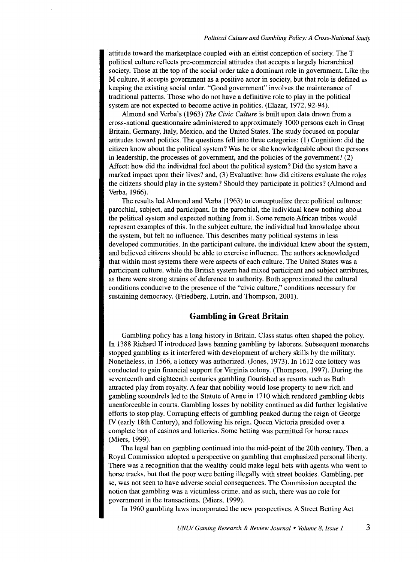attitude toward the marketplace coupled with an elitist conception of society. The T political culture reflects pre-commercial attitudes that accepts a largely hierarchical society. Those at the top of the social order take a dominant role in government. Like the M culture, it accepts government as a positive actor in society, but that role is defined as keeping the existing social order. "Good government" involves the maintenance of traditional patterns. Those who do not have a definitive role to play in the political system are not expected to become active in politics. (Elazar, 1972, 92-94).

Almond and Verba's (1963) *The Civic Culture* is built upon data drawn from a cross-national questionnaire administered to approximately 1000 persons each in Great Britain, Germany, Italy, Mexico, and the United States. The study focused on popular attitudes toward politics. The questions fell into three categories: (1) Cognition: did the citizen know about the political system? Was he or she knowledgeable about the persons in leadership, the processes of government, and the policies of the government? (2) Affect: how did the individual feel about the political system? Did the system have a marked impact upon their lives? and, (3) Evaluative: how did citizens evaluate the roles the citizens should play in the system? Should they participate in politics? (Almond and Verba, 1966).

The results led Almond and Verba (1963) to conceptualize three political cultures: parochial, subject, and participant. In the parochial, the individual knew nothing about the political system and expected nothing from it. Some remote African tribes would represent examples of this. In the subject culture, the individual had knowledge about the system, but felt no influence. This describes many political systems in less developed communities. In the participant culture, the individual knew about the system, and believed citizens should be able to exercise influence. The authors acknowledged that within most systems there were aspects of each culture. The United States was a participant culture, while the British system had mixed participant and subject attributes, as there were strong strains of deference to authority. Both approximated the cultural conditions conducive to the presence of the "civic culture," conditions necessary for sustaining democracy. (Friedberg, Lutrin, and Thompson, 2001).

#### **Gambling in Great Britain**

Gambling policy has a long history in Britain. Class status often shaped the policy. In 1388 Richard II introduced laws banning gambling by laborers. Subsequent monarchs stopped gambling as it interfered with development of archery skills by the military. Nonetheless, in 1566, a lottery was authorized. (Jones, 1973). In 1612 one lottery was conducted to gain financial support for Virginia colony. (Thompson, 1997). During the seventeenth and eighteenth centuries gambling flourished as resorts such as Bath attracted play from royalty. A fear that nobility would lose property to new rich and gambling scoundrels led to the Statute of Anne in 1710 which rendered gambling debts unenforceable in courts. Gambling losses by nobility continued as did further legislative efforts to stop play. Corrupting effects of gambling peaked during the reign of George IV (early 18th Century), and following his reign, Queen Victoria presided over a complete ban of casinos and lotteries. Some betting was permitted for horse races (Miers, 1999).

The legal ban on gambling continued into the mid-point of the 20th century. Then, a Royal Commission adopted a perspective on gambling that emphasized personal liberty. There was a recognition that the wealthy could make legal bets with agents who went to horse tracks, but that the poor were betting illegally with street bookies. Gambling, per se, was not seen to have adverse social consequences. The Commission accepted the notion that gambling was a victimless crime, and as such, there was no role for government in the transactions. (Miers, 1999).

In 1960 gambling laws incorporated the new perspectives. A Street Betting Act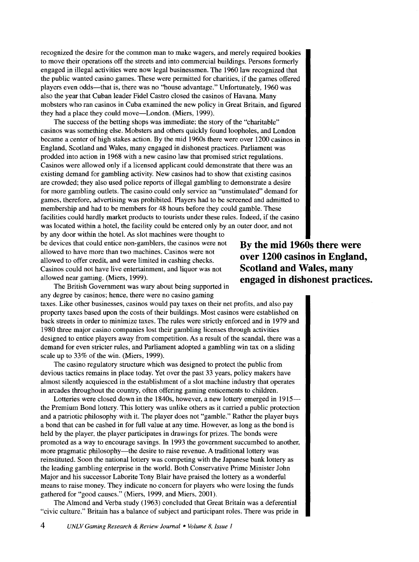recognized the desire for the common man to make wagers, and merely required bookies to move their operations off the streets and into commercial buildings. Persons formerly engaged in illegal activities were now legal businessmen. The 1960 law recognized that the public wanted casino games. These were permitted for charities, if the games offered players even odds—that is, there was no "house advantage." Unfortunately, 1960 was also the year that Cuban leader Fidel Castro closed the casinos of Havana. Many mobsters who ran casinos in Cuba examined the new policy in Great Britain, and figured they had a place they could move-London. (Miers, 1999).

The success of the betting shops was immediate; the story of the "charitable" casinos was something else. Mobsters and others quickly found loopholes, and London became a center of high stakes action. By the mid 1960s there were over 1200 casinos in England, Scotland and Wales, many engaged in dishonest practices. Parliament was prodded into action in 1968 with a new casino law that promised strict regulations. Casinos were allowed only if a licensed applicant could demonstrate that there was an existing demand for gambling activity. New casinos had to show that existing casinos are crowded; they also used police reports of illegal gambling to demonstrate a desire for more gambling outlets. The casino could only service an "unstimulated" demand for games, therefore, advertising was prohibited. Players had to be screened and admitted to membership and had to be members for 48 hours before they could gamble. These facilities could hardly market products to tourists under these rules. Indeed, if the casino was located within a hotel, the facility could be entered only by an outer door, and not

by any door within the hotel. As slot machines were thought to be devices that could entice non-gamblers, the casinos were not allowed to have more than two machines. Casinos were not allowed to offer credit, and were limited in cashing checks. Casinos could not have live entertainment, and liquor was not allowed near gaming. (Miers, 1999).

**By the mid 1960s there were over 1200 casinos in England, Scotland and Wales, many engaged in dishonest practices.** 

The British Government was wary about being supported in any degree by casinos; hence, there were no casino gaming

taxes. Like other businesses, casinos would pay taxes on their net profits, and also pay property taxes based upon the costs of their buildings. Most casinos were established on back streets in order to minimize taxes. The rules were strictly enforced and in 1979 and 1980 three major casino companies lost their gambling licenses through activities designed to entice players away from competition. As a result of the scandal, there was a demand for even stricter rules, and Parliament adopted a gambling win tax on a sliding scale up to 33% of the win. (Miers, 1999).

The casino regulatory structure which was designed to protect the public from devious tactics remains in place today. Yet over the past 33 years, policy makers have almost silently acquiesced in the establishment of a slot machine industry that operates in arcades throughout the country, often offering gaming enticements to children.

Lotteries were closed down in the 1840s, however, a new lottery emerged in 1915 the Premium Bond lottery. This lottery was unlike others as it carried a public protection and a patriotic philosophy with it. The player does not "gamble." Rather the player buys a bond that can be cashed in for full value at any time. However, as long as the bond is held by the player, the player participates in drawings for prizes. The bonds were promoted as a way to encourage savings. In 1993 the government succumbed to another, more pragmatic philosophy—the desire to raise revenue. A traditional lottery was reinstituted. Soon the national lottery was competing with the Japanese bank lottery as the leading gambling enterprise in the world. Both Conservative Prime Minister John Major and his successor Laborite Tony Blair have praised the lottery as a wonderful means to raise money. They indicate no concern for players who were losing the funds gathered for "good causes." (Miers, 1999, and Miers, 2001).

The Almond and Verba study (1963) concluded that Great Britain was a deferential "civic culture." Britain has a balance of subject and participant roles. There was pride in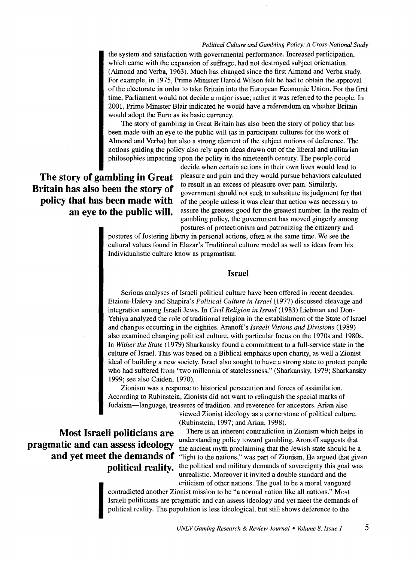the system and satisfaction with governmental performance. Increased participation, which came with the expansion of suffrage, had not destroyed subject orientation. (Almond and Verba, 1963). Much has changed since the first Almond and Verba study. For example, in 1975, Prime Minister Harold Wilson felt he had to obtain the approval of the electorate in order to take Britain into the European Economic Union. For the first time, Parliament would not decide a major issue; rather it was referred to the people. In 2001, Prime Minister Blair indicated he would have a referendum on whether Britain would adopt the Euro as its basic currency.

The story of gambling in Great Britain has also been the story of policy that has been made with an eye to the public will (as in participant cultures for the work of Almond and Verba) but also a strong element of the subject notions of deference. The notions guiding the policy also rely upon ideas drawn out of the liberal and utilitarian philosophies impacting upon the polity in the nineteenth century. The people could

### **The story of gambling in Great Britain has also been the story of policy that has been made with an eye to the public will.**

decide when certain actions in their own lives would lead to pleasure and pain and they would pursue behaviors calculated to result in an excess of pleasure over pain. Similarly, government should not seek to substitute its judgment for that of the people unless it was clear that action was necessary to assure the greatest good for the greatest number. In the realm of gambling policy, the government has moved gingerly among

postures of protectionism and patronizing the citizenry and postures of fostering liberty in personal actions, often at the same time. We see the cultural values found in Elazar's Traditional culture model as well as ideas from his Individualistic culture know as pragmatism.

#### **Israel**

Serious analyses of Israeli political culture have been offered in recent decades. Etzioni-Halevy and Shapira's *Political Culture in Israel* (1977) discussed cleavage and integration among Israeli Jews. In *Civil Religion in Israel* (1983) Liebman and Don-Yehiya analyzed the role of traditional religion in the establishment of the State of Israel and changes occurring in the eighties. Aranoff's *Israeli Visions and Divisions* (1989) also examined changing political culture, with particular focus on the 1970s and 1980s. In *Wither the State* (1979) Sharkansky found a commitment to a full-service state in the culture of Israel. This was based on a Biblical emphasis upon charity, as well a Zionist ideal of building a new society. Israel also sought to have a strong state to protect people who had suffered from "two millennia of statelessness." (Sharkansky, 1979; Sharkansky 1999; see also Caiden, 1970).

Zionism was a response to historical persecution and forces of assimilation. According to Rubinstein, Zionists did not want to relinquish the special marks of Judaism-language, treasures of tradition, and reverence for ancestors. Arian also

> viewed Zionist ideology as a cornerstone of political culture. (Rubinstein, 1997; and Arian, 1998).

There is an inherent contradiction in Zionism which helps in understanding policy toward gambling. Aronoff suggests that the ancient myth proclaiming that the Jewish state should be a "light to the nations," was part of Zionism. He argued that given the political and military demands of sovereignty this goal was unrealistic. Moreover it invited a double standard and the

contradicted another Zionist mission to be "a normal nation like all nations." Most<br>Israeli politicians are pragmatic and can assess ideology and yet meet the demands<br>political reality. The population is less ideological, contradicted another Zionist mission to be "a normal nation like all nations." Most Israeli politicians are pragmatic and can assess ideology and yet meet the demands of political reality. The population is less ideological, but still shows deference to the

## **Most Israeli politicians are pragmatic and can assess ideology and yet meet the demands of political reality.**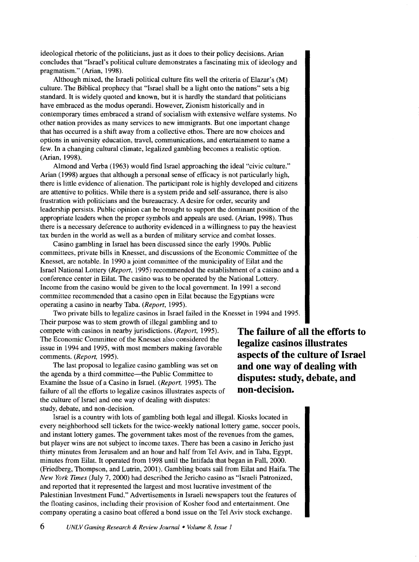ideological rhetoric of the politicians, just as it does to their policy decisions. Arian concludes that "Israel's political culture demonstrates a fascinating mix of ideology and pragmatism." (Arian, 1998).

Although mixed, the Israeli political culture fits well the criteria of Elazar's (M) culture. The Biblical prophecy that "Israel shall be a light onto the nations" sets a big standard. It is widely quoted and known, but it is hardly the standard that politicians have embraced as the modus operandi. However, Zionism historically and in contemporary times embraced a strand of socialism with extensive welfare systems. No other nation provides as many services to new immigrants. But one important change that has occurred is a shift away from a collective ethos. There are now choices and options in university education, travel, communications, and entertainment to name a few. In a changing cultural climate, legalized gambling becomes a realistic option. (Arian, 1998).

Almond and Verba (1963) would find Israel approaching the ideal "civic culture." Arian (1998) argues that although a personal sense of efficacy is not particularly high, there is little evidence of alienation. The participant role is highly developed and citizens are attentive to politics. While there is a system pride and self-assurance, there is also frustration with politicians and the bureaucracy. A desire for order, security and leadership persists. Public opinion can be brought to support the dominant position of the appropriate leaders when the proper symbols and appeals are used. (Arian, 1998). Thus there is a necessary deference to authority evidenced in a willingness to pay the heaviest tax burden in the world as well as a burden of military service and combat losses.

Casino gambling in Israel has been discussed since the early 1990s. Public committees, private bills in Knesset, and discussions of the Economic Committee of the Knesset, are notable. In 1990 a joint committee of the municipality of Eilat and the Israel National Lottery *(Report,* 1995) recommended the establishment of a casino and a conference center in Eilat. The casino was to be operated by the National Lottery. Income from the casino would be given to the local government. In 1991 a second committee recommended that a casino open in Eilat because the Egyptians were operating a casino in nearby Taba. *(Report,* 1995).

Two private bills to legalize casinos in Israel failed in the Knesset in 1994 and 1995. Their purpose was to stem growth of illegal gambling and to compete with casinos in nearby jurisdictions. *(Report,* 1995). The Economic Committee of the Knesset also considered the issue in 1994 and 1995, with most members making favorable comments. *(Report,* 1995).

The last proposal to legalize casino gambling was set on the agenda by a third committee-the Public Committee to Examine the Issue of a Casino in Israel. *(Report,* 1995). The failure of all the efforts to legalize casinos illustrates aspects of the culture of Israel and one way of dealing with disputes: study, debate, and non-decision.

Israel is a country with lots of gambling both legal and illegal. Kiosks located in every neighborhood sell tickets for the twice-weekly national lottery game, soccer pools, and instant lottery games. The government takes most of the revenues from the games, but player wins are not subject to income taxes. There has been a casino in Jericho just thirty minutes from Jerusalem and an hour and half from Tel Aviv, and in Taba, Egypt, minutes from Eilat. It operated from 1998 until the Intifada that began in Fall, 2000. (Friedberg, Thompson, and Lutrin, 2001). Gambling boats sail from Eilat and Haifa. The *New York Times* (July 7, 2000) had described the Jericho casino as "Israeli Patronized, and reported that it represented the largest and most lucrative investment of the Palestinian Investment Fund." Advertisements in Israeli newspapers tout the features of the floating casinos, including their provision of Kosher food and entertainment. One company operating a casino boat offered a bond issue on the Tel Aviv stock exchange.

**The failure of all the efforts to legalize casinos illustrates aspects of the culture of Israel and one way of dealing with disputes: study, debate, and non-decision.**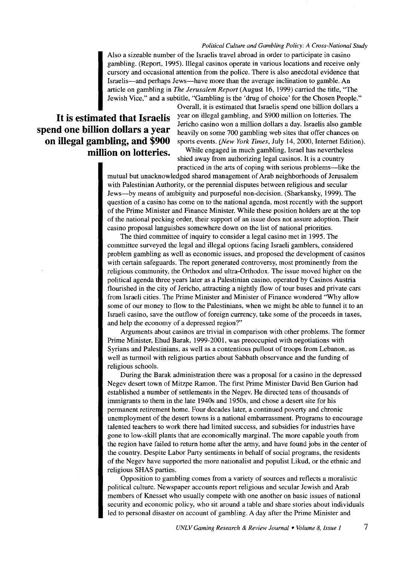Also a sizeable number of the Israelis travel abroad in order to participate in casino gambling. (Report, 1995). Illegal casinos operate in various locations and receive only cursory and occasional attention from the police. There is also anecdotal evidence that Israelis-and perhaps Jews-have more than the average inclination to gamble. An article on gambling in *The Jerusalem Report* (August 16, 1999) carried the title, "The Jewish Vice," and a subtitle, "Gambling is the 'drug of choice' for the Chosen People."

# **spend one billion dollars a year on illegal gambling, and \$900**

Overall, it is estimated that Israelis spend one billion dollars a It is estimated that Israelis <sup>year on illegal gambling, and \$900 million on lotteries. The</sup> Jericho casino won a million dollars a day. Israelis also gamble heavily on some 700 gambling web sites that offer chances on sports events. *{New York Times,* July 14, 2000, Internet Edition).

> **million on lotteries.** While engaged in much gambling, Israel has nevertheless shied away from authorizing legal casinos. It is a country practiced in the arts of coping with serious problems-like the

mutual but unacknowledged shared management of Arab neighborhoods of Jerusalem with Palestinian Authority, or the perennial disputes between religious and secular Jews-by means of ambiguity and purposeful non-decision. (Sharkansky, 1999). The question of a casino has come on to the national agenda, most recently with the support of the Prime Minister and Finance Minister. While these position holders are at the top of the national pecking order, their support of an issue does not assure adoption. Their casino proposal languishes somewhere down on the list of national priorities.

The third committee of inquiry to consider a legal casino met in 1995. The committee surveyed the legal and illegal options facing Israeli gamblers, considered problem gambling as well as economic issues, and proposed the development of casinos with certain safeguards. The report generated controversy, most prominently from the religious community, the Orthodox and ultra-Orthodox. The issue moved higher on the political agenda three years later as a Palestinian casino, operated by Casinos Austria flourished in the city of Jericho, attracting a nightly flow of tour buses and private cars from Israeli cities. The Prime Minister and Minister of Finance wondered "Why allow some of our money to flow to the Palestinians, when we might be able to funnel it to an Israeli casino, save the outflow of foreign currency, take some of the proceeds in taxes, and help the economy of a depressed region?"

Arguments about casinos are trivial in comparison with other problems. The former Prime Minister, Ehud Barak, 1999-2001, was preoccupied with negotiations with Syrians and Palestinians, as well as a contentious pullout of troops from Lebanon, as well as turmoil with religious parties about Sabbath observance and the funding of religious schools.

During the Barak administration there was a proposal for a casino in the depressed Negev desert town of Mitzpe Ramon. The first Prime Minister David Ben Gurion had established a number of settlements in the Negev. He directed tens of thousands of immigrants to them in the late 1940s and 1950s, and chose a desert site for his permanent retirement home. Four decades later, a continued poverty and chronic unemployment of the desert towns is a national embarrassment. Programs to encourage talented teachers to work there had limited success, and subsidies for industries have gone to low-skill plants that are economically marginal. The more capable youth from the region have failed to return home after the army, and have found jobs in the center of the country. Despite Labor Party sentiments in behalf of social programs, the residents of the Negev have supported the more nationalist and populist Likud, or the ethnic and religious SHAS parties.

Opposition to gambling comes from a variety of sources and reflects a moralistic political culture. Newspaper accounts report religious and secular Jewish and Arab members of Knesset who usually compete with one another on basic issues of national security and economic policy, who sit around a table and share stories about individuals led to personal disaster on account of gambling. A day after the Prime Minister and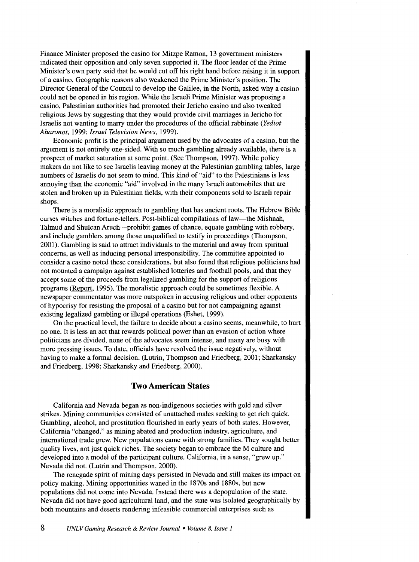Finance Minister proposed the casino for Mitzpe Ramon, 13 government ministers indicated their opposition and only seven supported it. The floor leader of the Prime Minister's own party said that he would cut off his right hand before raising it in support of a casino. Geographic reasons also weakened the Prime Minister's position. The Director General of the Council to develop the Galilee, in the North, asked why a casino could not be opened in his region. While the Israeli Prime Minister was proposing a casino, Palestinian authorities had promoted their Jericho casino and also tweaked religious Jews by suggesting that they would provide civil marriages in Jericho for Israelis not wanting to marry under the procedures of the official rabbinate *(Yediot Aharonot,* 1999; *Israel Television News,* 1999).

Economic profit is the principal argument used by the advocates of a casino, but the argument is not entirely one-sided. With so much gambling already available, there is a prospect of market saturation at some point. (See Thompson, 1997). While policy makers do not like to see Israelis leaving money at the Palestinian gambling tables, large numbers of Israelis do not seem to mind. This kind of "aid" to the Palestinians is less annoying than the economic "aid" involved in the many Israeli automobiles that are stolen and broken up in Palestinian fields, with their components sold to Israeli repair shops.

There is a moralistic approach to gambling that has ancient roots. The Hebrew Bible curses witches and fortune-tellers. Post-biblical compilations of law-the Mishnah, Talmud and Shulcan Aruch-prohibit games of chance, equate gambling with robbery, and include gamblers among those unqualified to testify in proceedings (Thompson, 2001). Gambling is said to attract individuals to the material and away from spiritual concerns, as well as inducing personal irresponsibility. The committee appointed to consider a casino noted these considerations, but also found that religious politicians had not mounted a campaign against established lotteries and football pools, and that they accept some of the proceeds from legalized gambling for the support of religious programs (Report, 1995). The moralistic approach could be sometimes flexible. A newspaper commentator was more outspoken in accusing religious and other opponents of hypocrisy for resisting the proposal of a casino but for not campaigning against existing legalized gambling or illegal operations (Eshet, 1999).

On the practical level, the failure to decide about a casino seems, meanwhile, to hurt no one. It is less an act that rewards political power than an evasion of action where politicians are divided, none of the advocates seem intense, and many are busy with more pressing issues. To date, officials have resolved the issue negatively, without having to make a formal decision. (Lutrin, Thompson and Friedberg, 2001; Sharkansky and Friedberg, 1998; Sharkansky and Friedberg, 2000).

#### **Two American States**

California and Nevada began as non-indigenous societies with gold and silver strikes. Mining communities consisted of unattached males seeking to get rich quick. Gambling, alcohol, and prostitution flourished in early years of both states. However, California "changed," as mining abated and production industry, agriculture, and international trade grew. New populations came with strong families. They sought better quality lives, not just quick riches. The society began to embrace the M culture and developed into a model of the participant culture. California, in a sense, "grew up." Nevada did not. (Lutrin and Thompson, 2000).

The renegade spirit of mining days persisted in Nevada and still makes its impact on policy making. Mining opportunities waned in the 1870s and 1880s, but new populations did not come into Nevada. Instead there was a depopulation of the state. Nevada did not have good agricultural land, and the state was isolated geographically by both mountains and deserts rendering infeasible commercial enterprises such as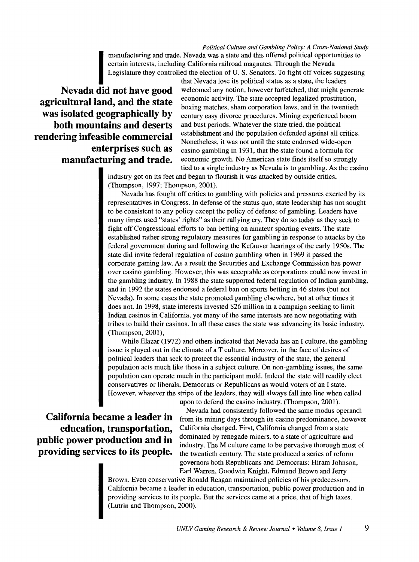*Political Culture and Gambling Policy: A Cross-National Study*<br>manufacturing and trade. Nevada was a state and this offered political opportunities to manufacturing and trade. Nevada was a state and this offered political opportunities to<br>certain interests, including California railroad magnates. Through the Nevada<br>Legislature they controlled the election of U.S. Senator certain interests, including California railroad magnates. Through the Nevada Legislature they controlled the election of U. S. Senators. To fight off voices suggesting

**agricultural land, and the state was isolated geographically by both mountains and deserts rendering infeasible commercial enterprises such as manufacturing and trade.** 

that Nevada lose its political status as a state, the leaders **Nevada did not have good** welcomed any notion, however farfetched, that might generate economic activity. The state accepted legalized prostitution, boxing matches, sham corporation laws, and in the twentieth century easy divorce procedures. Mining experienced boom and bust periods. Whatever the state tried, the political establishment and the population defended against all critics. Nonetheless, it was not until the state endorsed wide-open casino gambling in 1931, that the state found a formula for economic growth. No American state finds itself so strongly tied to a single industry as Nevada is to gambling. As the casino

> industry got on its feet and began to flourish it was attacked by outside critics. (Thompson, 1997; Thompson, 2001).

Nevada has fought off critics to gambling with policies and pressures exerted by its representatives in Congress. In defense of the status quo, state leadership has not sought to be consistent to any policy except the policy of defense of gambling. Leaders have many times used "states' rights" as their rallying cry. They do so today as they seek to fight off Congressional efforts to ban betting on amateur sporting events. The state established rather strong regulatory measures for gambling in response to attacks by the federal government during and following the Kefauver hearings of the early 1950s. The state did invite federal regulation of casino gambling when in 1969 it passed the corporate gaming law. As a result the Securities and Exchange Commission has power over casino gambling. However, this was acceptable as corporations could now invest in the gambling industry. In 1988 the state supported federal regulation of Indian gambling, and in 1992 the states endorsed a federal ban on sports betting in 46 states (but not Nevada). In some cases the state promoted gambling elsewhere, but at other times it does not. In 1998, state interests invested \$26 million in a campaign seeking to limit Indian casinos in California, yet many of the same interests are now negotiating with tribes to build their casinos. In all these cases the state was advancing its basic industry. (Thompson, 2001),

While Elazar (1972) and others indicated that Nevada has an I culture, the gambling issue is played out in the climate of a T culture. Moreover, in the face of desires of political leaders that seek to protect the essential industry of the state, the general population acts much like those in a subject culture. On non-gambling issues, the same population can operate much in the participant mold. Indeed the state will readily elect conservatives or liberals, Democrats or Republicans as would voters of an I state. However, whatever the stripe of the leaders, they will always fall into line when called

**education, transportation, public power production and in providing services to its people.**  upon to defend the casino industry. (Thompson, 2001).

Nevada had consistently followed the same modus operandi **California became a leader in** from its mining days through its casino predominance, however California changed. First, California changed from a state dominated by renegade miners, to a state of agriculture and industry. The M culture came to be pervasive thorough most of the twentieth century. The state produced a series of reform governors both Republicans and Democrats: Hiram Johnson, Earl Warren, Goodwin Knight, Edmund Brown and Jerry

> Brown. Even conservative Ronald Reagan maintained policies of his predecessors. California became a leader in education, transportation, public power production and in providing services to its people. But the services came at a price, that of high taxes. (Lutrin and Thompson, 2000).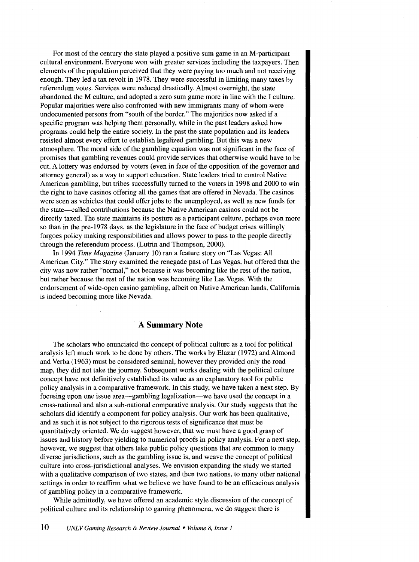For most of the century the state played a positive sum game in an M-participant cultural environment. Everyone won with greater services including the taxpayers. Then elements of the population perceived that they were paying too much and not receiving enough. They led a tax revolt in 1978. They were successful in limiting many taxes by referendum votes. Services were reduced drastically. Almost overnight, the state abandoned the M culture, and adopted a zero sum game more in line with the I culture. Popular majorities were also confronted with new immigrants many of whom were undocumented persons from "south of the border." The majorities now asked if a specific program was helping them personally, while in the past leaders asked how programs could help the entire society. In the past the state population and its leaders resisted almost every effort to establish legalized gambling. But this was a new atmosphere. The moral side of the gambling equation was not significant in the face of promises that gambling revenues could provide services that otherwise would have to be cut. A lottery was endorsed by voters (even in face of the opposition of the governor and attorney general) as a way to support education. State leaders tried to control Native American gambling, but tribes successfully turned to the voters in 1998 and 2000 to win the right to have casinos offering all the games that are offered in Nevada. The casinos were seen as vehicles that could offer jobs to the unemployed, as well as new funds for the state--called contributions because the Native American casinos could not be directly taxed. The state maintains its posture as a participant culture, perhaps even more so than in the pre-1978 days, as the legislature in the face of budget crises willingly forgoes policy making responsibilities and allows power to pass to the people directly through the referendum process. (Lutrin and Thompson, 2000).

In 1994 *Time Magazine* (January 10) ran a feature story on "Las Vegas: All American City." The story examined the renegade past of Las Vegas, but offered that the city was now rather "normal," not because it was becoming like the rest of the nation, but rather because the rest of the nation was becoming like Las Vegas. With the endorsement of wide-open casino gambling, albeit on Native American lands, California is indeed becoming more like Nevada.

#### A **Summary Note**

The scholars who enunciated the concept of political culture as a tool for political analysis left much work to be done by others. The works by Elazar (1972) and Almond and Verba (1963) must be considered seminal, however they provided only the road map, they did not take the journey. Subsequent works dealing with the political culture concept have not definitively established its value as an explanatory tool for public policy analysis in a comparative framework. In this study, we have taken a next step. By focusing upon one issue area—gambling legalization—we have used the concept in a cross-national and also a sub-national comparative analysis. Our study suggests that the scholars did identify a component for policy analysis. Our work has been qualitative, and as such it is not subject to the rigorous tests of significance that must be quantitatively oriented. We do suggest however, that we must have a good grasp of issues and history before yielding to numerical proofs in policy analysis. For a next step, however, we suggest that others take public policy questions that are common to many diverse jurisdictions, such as the gambling issue is, and weave the concept of political culture into cross-jurisdictional analyses. We envision expanding the study we started with a qualitative comparison of two states, and then two nations, to many other national settings in order to reaffirm what we believe we have found to be an efficacious analysis of gambling policy in a comparative framework.

While admittedly, we have offered an academic style discussion of the concept of political culture and its relationship to gaming phenomena, we do suggest there is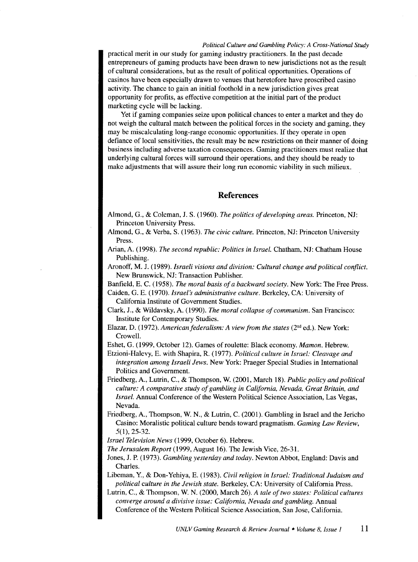practical merit in our study for gaming industry practitioners. In the past decade entrepreneurs of gaming products have been drawn to new jurisdictions not as the result of cultural considerations, but as the result of political opportunities. Operations of casinos have been especially drawn to venues that heretofore have proscribed casino activity. The chance to gain an initial foothold in a new jurisdiction gives great opportunity for profits, as effective competition at the initial part of the product marketing cycle will be lacking.

Yet if gaming companies seize upon political chances to enter a market and they do not weigh the cultural match between the political forces in the society and gaming, they may be miscalculating long-range economic opportunities. If they operate in open defiance of local sensitivities, the result may be new restrictions on their manner of doing business including adverse taxation consequences. Gaming practitioners must realize that underlying cultural forces will surround their operations, and they should be ready to make adjustments that will assure their long run economic viability in such milieux.

#### **References**

- Almond, G., & Coleman, J. S. (1960). *The politics of developing areas.* Princeton, NJ: Princeton University Press.
- Almond, G., & Verba, S. (1963). *The civic culture.* Princeton, NJ: Princeton University Press.
- Arian, A. (1998). *The second republic: Politics in Israel.* Chatham, NJ: Chatham House Publishing.
- Aronoff, M. J. (1989). *Israeli visions and division: Cultural change and political conflict.*  New Brunswick, NJ: Transaction Publisher.

Banfield, E. C. (1958). *The moral basis of a backward society.* New York: The Free Press.

- Caiden, G. E. (1970). *Israel's administrative culture.* Berkeley, CA: University of California Institute of Government Studies.
- Clark, J., & Wildavsky, A. (1990). *The moral collapse of communism.* San Francisco: Institute for Contemporary Studies.
- Elazar, D. (1972). *American federalism: A view from the states* (2<sup>nd</sup> ed.). New York: Crowell.
- Eshet, G. (1999, October 12). Games of roulette: Black economy. *Mamon.* Hebrew.
- Etzioni-Halevy, E. with Shapira, R. (1977). *Political culture in Israel: Cleavage and integration among Israeli Jews.* New York: Praeger Special Studies in International Politics and Government.
- Friedberg, A., Lutrin, C., & Thompson, W. (2001, March 18). *Public policy and political culture: A comparative study of gambling in California, Nevada, Great Britain, and Israel.* Annual Conference of the Western Political Science Association, Las Vegas, Nevada.
- Friedberg, A., Thompson, W. N., & Lutrin, C. (2001). Gambling in Israel and the Jericho Casino: Moralistic political culture bends toward pragmatism. *Gaming Law Review,*  5(1), 25-32.
- *Israel Television News* (1999, October 6). Hebrew.
- *The Jerusalem Report* (1999, August 16). The Jewish Vice, 26-31.
- Jones, J. P. (1973). *Gambling yesterday and today.* Newton Abbot, England: Davis and Charles.
- Libeman, Y., & Don-Yehiya, E. (1983). *Civil religion in Israel: Traditional Judaism and political culture in the Jewish state.* Berkeley, CA: University of California Press.

Lutrin, C., & Thompson, W. N. (2000, March 26). *A tale of two states: Political cultures converge around a divisive issue: California, Nevada and gambling.* Annual Conference of the Western Political Science Association, San Jose, California.